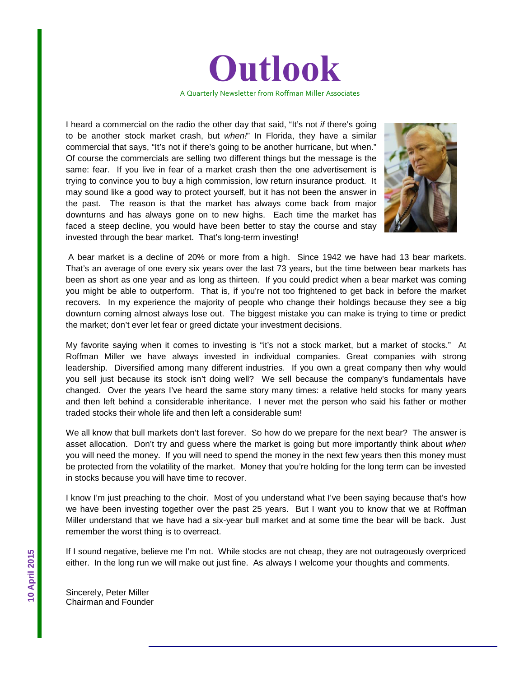

I heard a commercial on the radio the other day that said, "It's not *if* there's going to be another stock market crash, but *when!*" In Florida, they have a similar commercial that says, "It's not if there's going to be another hurricane, but when." Of course the commercials are selling two different things but the message is the same: fear. If you live in fear of a market crash then the one advertisement is trying to convince you to buy a high commission, low return insurance product. It may sound like a good way to protect yourself, but it has not been the answer in the past. The reason is that the market has always come back from major downturns and has always gone on to new highs. Each time the market has faced a steep decline, you would have been better to stay the course and stay invested through the bear market. That's long-term investing!



A bear market is a decline of 20% or more from a high. Since 1942 we have had 13 bear markets. That's an average of one every six years over the last 73 years, but the time between bear markets has been as short as one year and as long as thirteen. If you could predict when a bear market was coming you might be able to outperform. That is, if you're not too frightened to get back in before the market recovers. In my experience the majority of people who change their holdings because they see a big downturn coming almost always lose out. The biggest mistake you can make is trying to time or predict the market; don't ever let fear or greed dictate your investment decisions.

My favorite saying when it comes to investing is "it's not a stock market, but a market of stocks." At Roffman Miller we have always invested in individual companies. Great companies with strong leadership. Diversified among many different industries. If you own a great company then why would you sell just because its stock isn't doing well? We sell because the company's fundamentals have changed. Over the years I've heard the same story many times: a relative held stocks for many years and then left behind a considerable inheritance. I never met the person who said his father or mother traded stocks their whole life and then left a considerable sum!

We all know that bull markets don't last forever. So how do we prepare for the next bear? The answer is asset allocation. Don't try and guess where the market is going but more importantly think about *when* you will need the money. If you will need to spend the money in the next few years then this money must be protected from the volatility of the market. Money that you're holding for the long term can be invested in stocks because you will have time to recover.

I know I'm just preaching to the choir. Most of you understand what I've been saying because that's how we have been investing together over the past 25 years. But I want you to know that we at Roffman Miller understand that we have had a six-year bull market and at some time the bear will be back. Just remember the worst thing is to overreact.

If I sound negative, believe me I'm not. While stocks are not cheap, they are not outrageously overpriced either. In the long run we will make out just fine. As always I welcome your thoughts and comments.

Sincerely, Peter Miller Chairman and Founder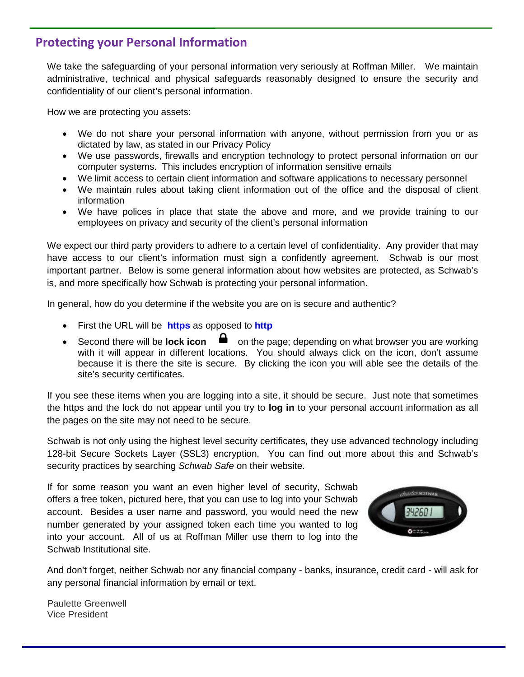### **Protecting your Personal Information**

We take the safeguarding of your personal information very seriously at Roffman Miller. We maintain administrative, technical and physical safeguards reasonably designed to ensure the security and confidentiality of our client's personal information.

How we are protecting you assets:

- We do not share your personal information with anyone, without permission from you or as dictated by law, as stated in our Privacy Policy
- We use passwords, firewalls and encryption technology to protect personal information on our computer systems. This includes encryption of information sensitive emails
- We limit access to certain client information and software applications to necessary personnel
- We maintain rules about taking client information out of the office and the disposal of client information
- We have polices in place that state the above and more, and we provide training to our employees on privacy and security of the client's personal information

We expect our third party providers to adhere to a certain level of confidentiality. Any provider that may have access to our client's information must sign a confidently agreement. Schwab is our most important partner. Below is some general information about how websites are protected, as Schwab's is, and more specifically how Schwab is protecting your personal information.

In general, how do you determine if the website you are on is secure and authentic?

- First the URL will be **https** as opposed to **http**
- Second there will be **lock icon**  $\blacksquare$  on the page; depending on what browser you are working with it will appear in different locations. You should always click on the icon, don't assume because it is there the site is secure. By clicking the icon you will able see the details of the site's security certificates.

If you see these items when you are logging into a site, it should be secure. Just note that sometimes the https and the lock do not appear until you try to **log in** to your personal account information as all the pages on the site may not need to be secure.

Schwab is not only using the highest level security certificates, they use advanced technology including 128-bit Secure Sockets Layer (SSL3) encryption. You can find out more about this and Schwab's security practices by searching *Schwab Safe* on their website.

If for some reason you want an even higher level of security, Schwab offers a free token, pictured here, that you can use to log into your Schwab account. Besides a user name and password, you would need the new number generated by your assigned token each time you wanted to log into your account. All of us at Roffman Miller use them to log into the Schwab Institutional site.



And don't forget, neither Schwab nor any financial company - banks, insurance, credit card - will ask for any personal financial information by email or text.

Paulette Greenwell Vice President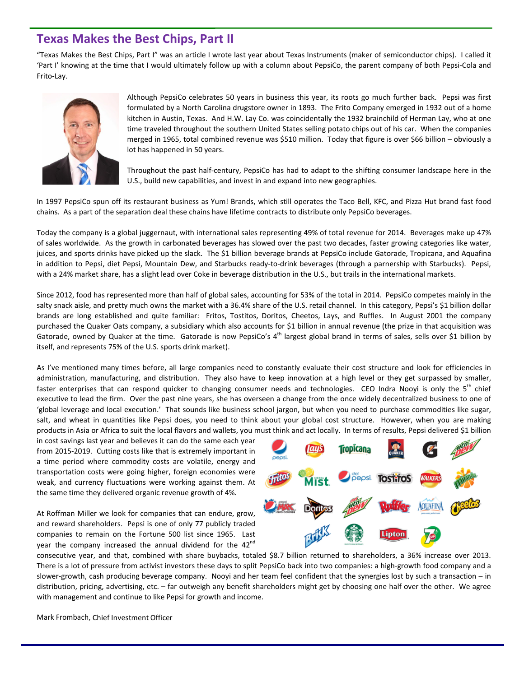### **Texas Makes the Best Chips, Part II**

"Texas Makes the Best Chips, Part I" was an article I wrote last year about Texas Instruments (maker of semiconductor chips). I called it 'Part I' knowing at the time that I would ultimately follow up with a column about PepsiCo, the parent company of both Pepsi-Cola and Frito-Lay.



Although PepsiCo celebrates 50 years in business this year, its roots go much further back. Pepsi was first formulated by a North Carolina drugstore owner in 1893. The Frito Company emerged in 1932 out of a home kitchen in Austin, Texas. And H.W. Lay Co. was coincidentally the 1932 brainchild of Herman Lay, who at one time traveled throughout the southern United States selling potato chips out of his car. When the companies merged in 1965, total combined revenue was \$510 million. Today that figure is over \$66 billion – obviously a lot has happened in 50 years.

Throughout the past half-century, PepsiCo has had to adapt to the shifting consumer landscape here in the U.S., build new capabilities, and invest in and expand into new geographies.

In 1997 PepsiCo spun off its restaurant business as Yum! Brands, which still operates the Taco Bell, KFC, and Pizza Hut brand fast food chains. As a part of the separation deal these chains have lifetime contracts to distribute only PepsiCo beverages.

Today the company is a global juggernaut, with international sales representing 49% of total revenue for 2014. Beverages make up 47% of sales worldwide. As the growth in carbonated beverages has slowed over the past two decades, faster growing categories like water, juices, and sports drinks have picked up the slack. The \$1 billion beverage brands at PepsiCo include Gatorade, Tropicana, and Aquafina in addition to Pepsi, diet Pepsi, Mountain Dew, and Starbucks ready-to-drink beverages (through a parnership with Starbucks). Pepsi, with a 24% market share, has a slight lead over Coke in beverage distribution in the U.S., but trails in the international markets.

Since 2012, food has represented more than half of global sales, accounting for 53% of the total in 2014. PepsiCo competes mainly in the salty snack aisle, and pretty much owns the market with a 36.4% share of the U.S. retail channel. In this category, Pepsi's \$1 billion dollar brands are long established and quite familiar: Fritos, Tostitos, Doritos, Cheetos, Lays, and Ruffles. In August 2001 the company purchased the Quaker Oats company, a subsidiary which also accounts for \$1 billion in annual revenue (the prize in that acquisition was Gatorade, owned by Quaker at the time. Gatorade is now PepsiCo's 4<sup>th</sup> largest global brand in terms of sales, sells over \$1 billion by itself, and represents 75% of the U.S. sports drink market).

As I've mentioned many times before, all large companies need to constantly evaluate their cost structure and look for efficiencies in administration, manufacturing, and distribution. They also have to keep innovation at a high level or they get surpassed by smaller, faster enterprises that can respond quicker to changing consumer needs and technologies. CEO Indra Nooyi is only the  $5<sup>th</sup>$  chief executive to lead the firm. Over the past nine years, she has overseen a change from the once widely decentralized business to one of 'global leverage and local execution.' That sounds like business school jargon, but when you need to purchase commodities like sugar, salt, and wheat in quantities like Pepsi does, you need to think about your global cost structure. However, when you are making products in Asia or Africa to suit the local flavors and wallets, you must think and act locally. In terms of results, Pepsi delivered \$1 billion

in cost savings last year and believes it can do the same each year from 2015-2019. Cutting costs like that is extremely important in a time period where commodity costs are volatile, energy and transportation costs were going higher, foreign economies were weak, and currency fluctuations were working against them. At the same time they delivered organic revenue growth of 4%.

At Roffman Miller we look for companies that can endure, grow, and reward shareholders. Pepsi is one of only 77 publicly traded companies to remain on the Fortune 500 list since 1965. Last year the company increased the annual dividend for the 42<sup>nd</sup>



consecutive year, and that, combined with share buybacks, totaled \$8.7 billion returned to shareholders, a 36% increase over 2013. There is a lot of pressure from activist investors these days to split PepsiCo back into two companies: a high-growth food company and a slower-growth, cash producing beverage company. Nooyi and her team feel confident that the synergies lost by such a transaction – in distribution, pricing, advertising, etc. – far outweigh any benefit shareholders might get by choosing one half over the other. We agree with management and continue to like Pepsi for growth and income.

Mark Frombach, Chief Investment Officer